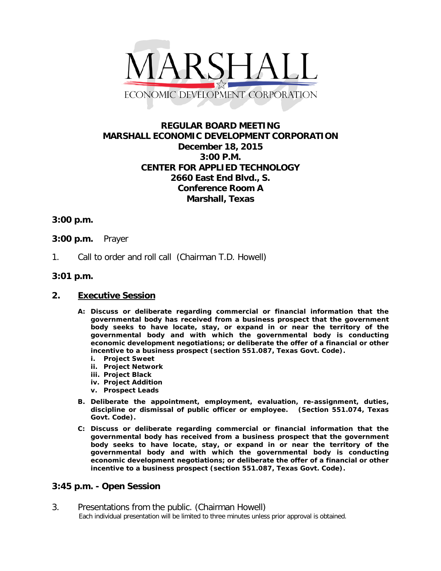

# **REGULAR BOARD MEETING MARSHALL ECONOMIC DEVELOPMENT CORPORATION December 18, 2015 3:00 P.M. CENTER FOR APPLIED TECHNOLOGY 2660 East End Blvd., S. Conference Room A Marshall, Texas**

## **3:00 p.m.**

### **3:00 p.m.** Prayer

1. Call to order and roll call (Chairman T.D. Howell)

### **3:01 p.m.**

### **2. Executive Session**

- **A: Discuss or deliberate regarding commercial or financial information that the governmental body has received from a business prospect that the government body seeks to have locate, stay, or expand in or near the territory of the governmental body and with which the governmental body is conducting economic development negotiations; or deliberate the offer of a financial or other incentive to a business prospect (section 551.087, Texas Govt. Code).**
	- **i. Project Sweet**
	- **ii. Project Network**
	- **iii. Project Black**
	- **iv. Project Addition**
	- **v. Prospect Leads**
- **B. Deliberate the appointment, employment, evaluation, re-assignment, duties, discipline or dismissal of public officer or employee. (Section 551.074, Texas Govt. Code).**
- **C: Discuss or deliberate regarding commercial or financial information that the governmental body has received from a business prospect that the government body seeks to have locate, stay, or expand in or near the territory of the governmental body and with which the governmental body is conducting economic development negotiations; or deliberate the offer of a financial or other incentive to a business prospect (section 551.087, Texas Govt. Code).**

### **3:45 p.m. - Open Session**

3. Presentations from the public. (Chairman Howell)<br>Each individual presentation will be limited to three minutes unless prior approval is obtained.